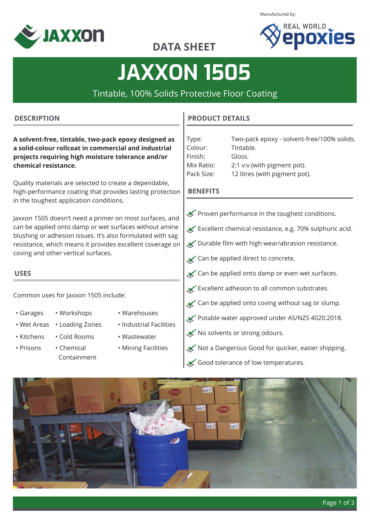

Manufactured by:



### **DATA SHEET**

# **JAXXON 1505**

Tintable, 100% Solids Protective Floor Coating

#### **DESCRIPTION**

**A solvent-free, tintable, two-pack epoxy designed as a solid-colour rollcoat in commercial and industrial projects requiring high moisture tolerance and/or chemical resistance.**

Quality materials are selected to create a dependable, high-performance coating that provides lasting protection in the toughest application conditions.

Jaxxon 1505 doesn't need a primer on most surfaces, and can be applied onto damp or wet surfaces without amine blushing or adhesion issues. It's also formulated with sag resistance, which means it provides excellent coverage on coving and other vertical surfaces.

#### **USES**

Common uses for Jaxxon 1505 include:

- 
- -
- 
- Kitchens Cold Rooms Wastewater
- Prisons Chemical Containment
- Garages Workshops Warehouses
- Wet Areas Loading Zones Industrial Facilities
	-
	- Mining Facilities

#### **PRODUCT DETAILS**

| Type:      | Two-pack epoxy - solvent-free/100% solids. |
|------------|--------------------------------------------|
| Colour:    | Tintable.                                  |
| Finish:    | Gloss.                                     |
| Mix Ratio: | 2:1 v:v (with pigment pot).                |
| Pack Size: | 12 litres (with pigment pot).              |

#### **BENEFITS**

- $\mathcal S$  Proven performance in the toughest conditions.
- Excellent chemical resistance, e.g. 70% sulphuric acid.
- $\blacktriangleright$  Durable film with high wear/abrasion resistance.
- $\boldsymbol{\times}$  Can be applied direct to concrete.
- Can be applied onto damp or even wet surfaces.
- $\mathbf{\times}$  Excellent adhesion to all common substrates.
- $\boldsymbol{\times}$  Can be applied onto coving without sag or slump.
- Potable water approved under AS/NZS 4020:2018.
- ◆ No solvents or strong odours.
- Not a Dangerous Good for quicker, easier shipping.
- Good tolerance of low temperatures.

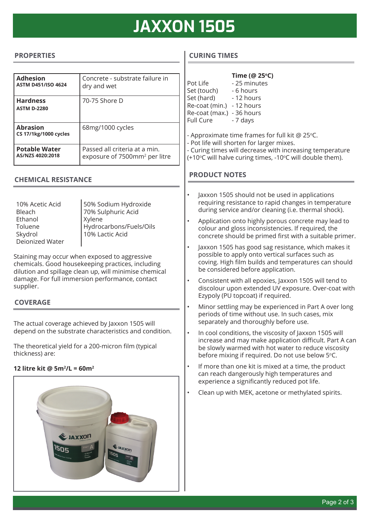### **JAXXON 1505**

#### **PROPERTIES**

| <b>Adhesion</b><br><b>ASTM D451/ISO 4624</b>    | Concrete - substrate failure in<br>dry and wet                             |
|-------------------------------------------------|----------------------------------------------------------------------------|
| <b>Hardness</b><br><b>ASTM D-2280</b>           | 70-75 Shore D                                                              |
| <b>Abrasion</b><br><b>CS 17/1kg/1000 cycles</b> | 68mg/1000 cycles                                                           |
| <b>Potable Water</b><br>AS/NZS 4020:2018        | Passed all criteria at a min.<br>exposure of 7500mm <sup>2</sup> per litre |

#### **CHEMICAL RESISTANCE**

10% Acetic Acid Bleach Ethanol Toluene Skydrol Deionized Water 50% Sodium Hydroxide 70% Sulphuric Acid Xylene Hydrocarbons/Fuels/Oils 10% Lactic Acid

Staining may occur when exposed to aggressive chemicals. Good housekeeping practices, including dilution and spillage clean up, will minimise chemical damage. For full immersion performance, contact supplier.

#### **COVERAGE**

The actual coverage achieved by Jaxxon 1505 will depend on the substrate characteristics and condition.

The theoretical yield for a 200-micron film (typical thickness) are:

#### **12 litre kit @ 5m2 /L = 60m2**



#### **CURING TIMES**

|                                                                                                                                                                                                                                             | Pot Life<br>Set (touch) - 6 hours<br>Set (hard) - 12 hours<br>Re-coat (min.) - 12 hours<br>Re-coat (max.) - 36 hours<br><b>Full Cure</b>                             | Time (@ 25°C)<br>- 25 minutes<br>- 7 days                                                                                                                                                            |  |  |
|---------------------------------------------------------------------------------------------------------------------------------------------------------------------------------------------------------------------------------------------|----------------------------------------------------------------------------------------------------------------------------------------------------------------------|------------------------------------------------------------------------------------------------------------------------------------------------------------------------------------------------------|--|--|
| - Approximate time frames for full kit @ 25°C.<br>- Pot life will shorten for larger mixes.<br>- Curing times will decrease with increasing temperature<br>(+10°C will halve curing times, -10°C will double them).<br><b>PRODUCT NOTES</b> |                                                                                                                                                                      |                                                                                                                                                                                                      |  |  |
|                                                                                                                                                                                                                                             |                                                                                                                                                                      | Jaxxon 1505 should not be used in applications<br>requiring resistance to rapid changes in temperature<br>during service and/or cleaning (i.e. thermal shock).                                       |  |  |
|                                                                                                                                                                                                                                             | Application onto highly porous concrete may lead to<br>colour and gloss inconsistencies. If required, the<br>concrete should be primed first with a suitable primer. |                                                                                                                                                                                                      |  |  |
|                                                                                                                                                                                                                                             |                                                                                                                                                                      | Jaxxon 1505 has good sag resistance, which makes it<br>possible to apply onto vertical surfaces such as<br>coving. High film builds and temperatures can should<br>be considered before application. |  |  |
|                                                                                                                                                                                                                                             |                                                                                                                                                                      | Consistent with all epoxies, Jaxxon 1505 will tend to<br>discolour upon extended UV exposure. Over-coat with<br>Ezypoly (PU topcoat) if required.                                                    |  |  |

- Minor settling may be experienced in Part A over long periods of time without use. In such cases, mix separately and thoroughly before use.
- In cool conditions, the viscosity of Jaxxon 1505 will increase and may make application difficult. Part A can be slowly warmed with hot water to reduce viscosity before mixing if required. Do not use below 5°C.
- If more than one kit is mixed at a time, the product can reach dangerously high temperatures and experience a significantly reduced pot life.
- Clean up with MEK, acetone or methylated spirits.